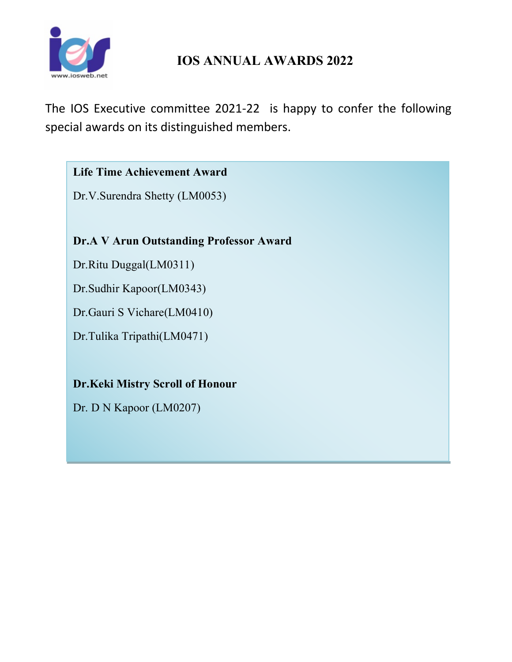

# **IOS ANNUAL AWARDS 2022**

The IOS Executive committee 2021-22 is happy to confer the following special awards on its distinguished members.

### **Life Time Achievement Award**

Dr.V.Surendra Shetty (LM0053)

**Dr.A V Arun Outstanding Professor Award**

Dr.Ritu Duggal(LM0311)

Dr.Sudhir Kapoor(LM0343)

Dr.Gauri S Vichare(LM0410)

Dr.Tulika Tripathi(LM0471)

## **Dr.Keki Mistry Scroll of Honour**

Dr. D N Kapoor (LM0207)